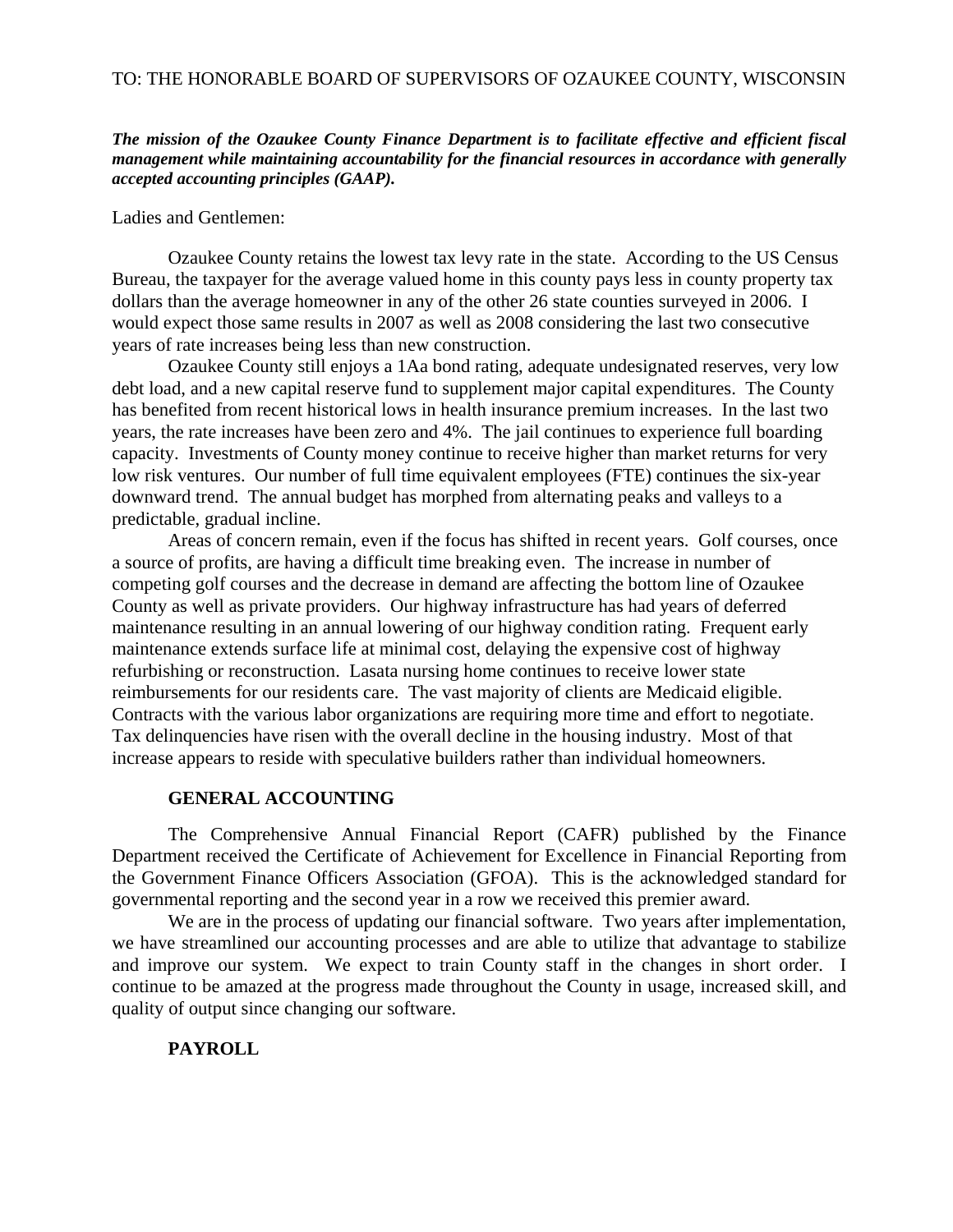### *The mission of the Ozaukee County Finance Department is to facilitate effective and efficient fiscal management while maintaining accountability for the financial resources in accordance with generally accepted accounting principles (GAAP).*

Ladies and Gentlemen:

Ozaukee County retains the lowest tax levy rate in the state. According to the US Census Bureau, the taxpayer for the average valued home in this county pays less in county property tax dollars than the average homeowner in any of the other 26 state counties surveyed in 2006. I would expect those same results in 2007 as well as 2008 considering the last two consecutive years of rate increases being less than new construction.

Ozaukee County still enjoys a 1Aa bond rating, adequate undesignated reserves, very low debt load, and a new capital reserve fund to supplement major capital expenditures. The County has benefited from recent historical lows in health insurance premium increases. In the last two years, the rate increases have been zero and 4%. The jail continues to experience full boarding capacity. Investments of County money continue to receive higher than market returns for very low risk ventures. Our number of full time equivalent employees (FTE) continues the six-year downward trend. The annual budget has morphed from alternating peaks and valleys to a predictable, gradual incline.

Areas of concern remain, even if the focus has shifted in recent years. Golf courses, once a source of profits, are having a difficult time breaking even. The increase in number of competing golf courses and the decrease in demand are affecting the bottom line of Ozaukee County as well as private providers. Our highway infrastructure has had years of deferred maintenance resulting in an annual lowering of our highway condition rating. Frequent early maintenance extends surface life at minimal cost, delaying the expensive cost of highway refurbishing or reconstruction. Lasata nursing home continues to receive lower state reimbursements for our residents care. The vast majority of clients are Medicaid eligible. Contracts with the various labor organizations are requiring more time and effort to negotiate. Tax delinquencies have risen with the overall decline in the housing industry. Most of that increase appears to reside with speculative builders rather than individual homeowners.

#### **GENERAL ACCOUNTING**

The Comprehensive Annual Financial Report (CAFR) published by the Finance Department received the Certificate of Achievement for Excellence in Financial Reporting from the Government Finance Officers Association (GFOA). This is the acknowledged standard for governmental reporting and the second year in a row we received this premier award.

We are in the process of updating our financial software. Two years after implementation, we have streamlined our accounting processes and are able to utilize that advantage to stabilize and improve our system. We expect to train County staff in the changes in short order. I continue to be amazed at the progress made throughout the County in usage, increased skill, and quality of output since changing our software.

# **PAYROLL**